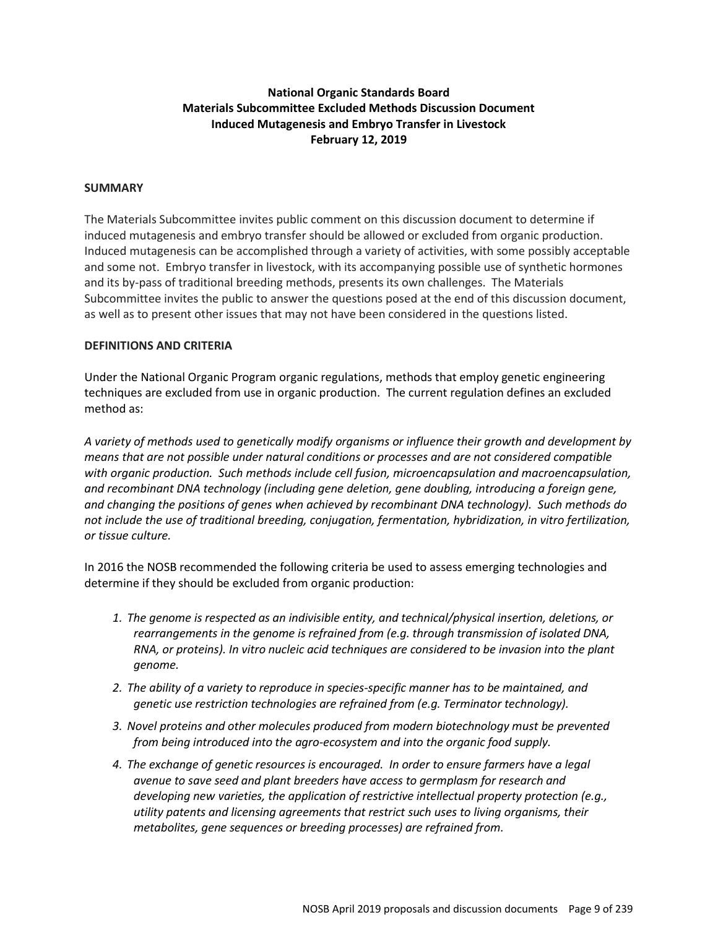# **National Organic Standards Board Materials Subcommittee Excluded Methods Discussion Document Induced Mutagenesis and Embryo Transfer in Livestock February 12, 2019**

### **SUMMARY**

The Materials Subcommittee invites public comment on this discussion document to determine if induced mutagenesis and embryo transfer should be allowed or excluded from organic production. Induced mutagenesis can be accomplished through a variety of activities, with some possibly acceptable and some not. Embryo transfer in livestock, with its accompanying possible use of synthetic hormones and its by-pass of traditional breeding methods, presents its own challenges. The Materials Subcommittee invites the public to answer the questions posed at the end of this discussion document, as well as to present other issues that may not have been considered in the questions listed.

# **DEFINITIONS AND CRITERIA**

Under the National Organic Program organic regulations, methods that employ genetic engineering techniques are excluded from use in organic production. The current regulation defines an excluded method as:

*A variety of methods used to genetically modify organisms or influence their growth and development by means that are not possible under natural conditions or processes and are not considered compatible with organic production. Such methods include cell fusion, microencapsulation and macroencapsulation, and recombinant DNA technology (including gene deletion, gene doubling, introducing a foreign gene, and changing the positions of genes when achieved by recombinant DNA technology). Such methods do not include the use of traditional breeding, conjugation, fermentation, hybridization, in vitro fertilization, or tissue culture.* 

In 2016 the NOSB recommended the following criteria be used to assess emerging technologies and determine if they should be excluded from organic production:

- *1. The genome is respected as an indivisible entity, and technical/physical insertion, deletions, or rearrangements in the genome is refrained from (e.g. through transmission of isolated DNA, RNA, or proteins). In vitro nucleic acid techniques are considered to be invasion into the plant genome.*
- *2. The ability of a variety to reproduce in species-specific manner has to be maintained, and genetic use restriction technologies are refrained from (e.g. Terminator technology).*
- *3. Novel proteins and other molecules produced from modern biotechnology must be prevented from being introduced into the agro-ecosystem and into the organic food supply.*
- *4. The exchange of genetic resources is encouraged. In order to ensure farmers have a legal avenue to save seed and plant breeders have access to germplasm for research and developing new varieties, the application of restrictive intellectual property protection (e.g., utility patents and licensing agreements that restrict such uses to living organisms, their metabolites, gene sequences or breeding processes) are refrained from.*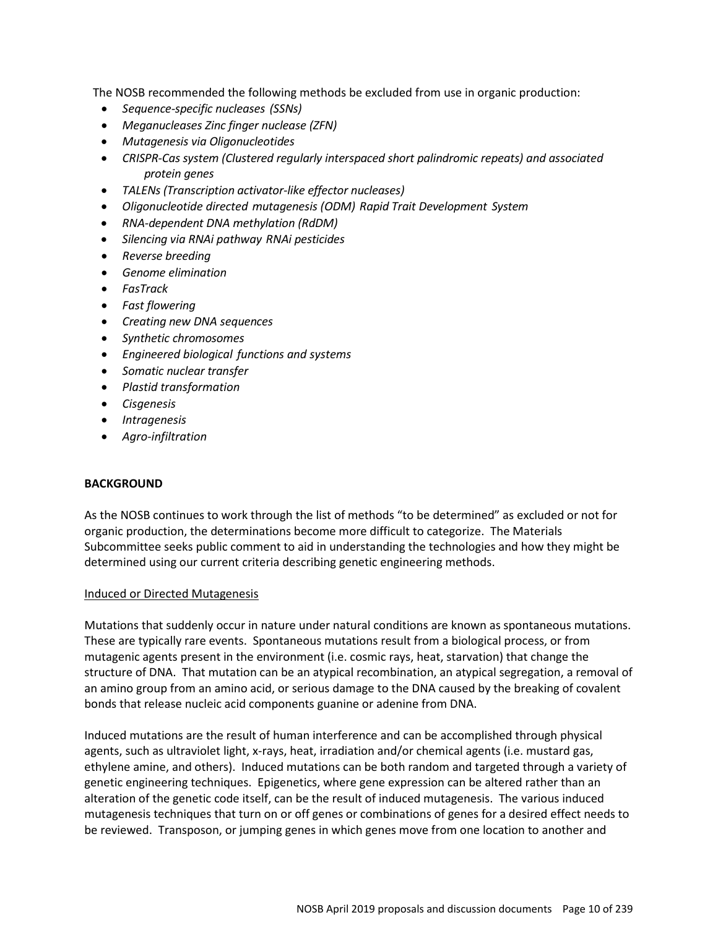The NOSB recommended the following methods be excluded from use in organic production:

- *Sequence-specific nucleases (SSNs)*
- *Meganucleases Zinc finger nuclease (ZFN)*
- *Mutagenesis via Oligonucleotides*
- *CRISPR-Cas system (Clustered regularly interspaced short palindromic repeats) and associated protein genes*
- *TALENs (Transcription activator-like effector nucleases)*
- *Oligonucleotide directed mutagenesis (ODM) Rapid Trait Development System*
- *RNA-dependent DNA methylation (RdDM)*
- *Silencing via RNAi pathway RNAi pesticides*
- *Reverse breeding*
- *Genome elimination*
- *FasTrack*
- *Fast flowering*
- *Creating new DNA sequences*
- *Synthetic chromosomes*
- *Engineered biological functions and systems*
- *Somatic nuclear transfer*
- *Plastid transformation*
- *Cisgenesis*
- *Intragenesis*
- *Agro-infiltration*

# **BACKGROUND**

As the NOSB continues to work through the list of methods "to be determined" as excluded or not for organic production, the determinations become more difficult to categorize. The Materials Subcommittee seeks public comment to aid in understanding the technologies and how they might be determined using our current criteria describing genetic engineering methods.

### Induced or Directed Mutagenesis

Mutations that suddenly occur in nature under natural conditions are known as spontaneous mutations. These are typically rare events. Spontaneous mutations result from a biological process, or from mutagenic agents present in the environment (i.e. cosmic rays, heat, starvation) that change the structure of DNA. That mutation can be an atypical recombination, an atypical segregation, a removal of an amino group from an amino acid, or serious damage to the DNA caused by the breaking of covalent bonds that release nucleic acid components guanine or adenine from DNA.

Induced mutations are the result of human interference and can be accomplished through physical agents, such as ultraviolet light, x-rays, heat, irradiation and/or chemical agents (i.e. mustard gas, ethylene amine, and others). Induced mutations can be both random and targeted through a variety of genetic engineering techniques. Epigenetics, where gene expression can be altered rather than an alteration of the genetic code itself, can be the result of induced mutagenesis. The various induced mutagenesis techniques that turn on or off genes or combinations of genes for a desired effect needs to be reviewed. Transposon, or jumping genes in which genes move from one location to another and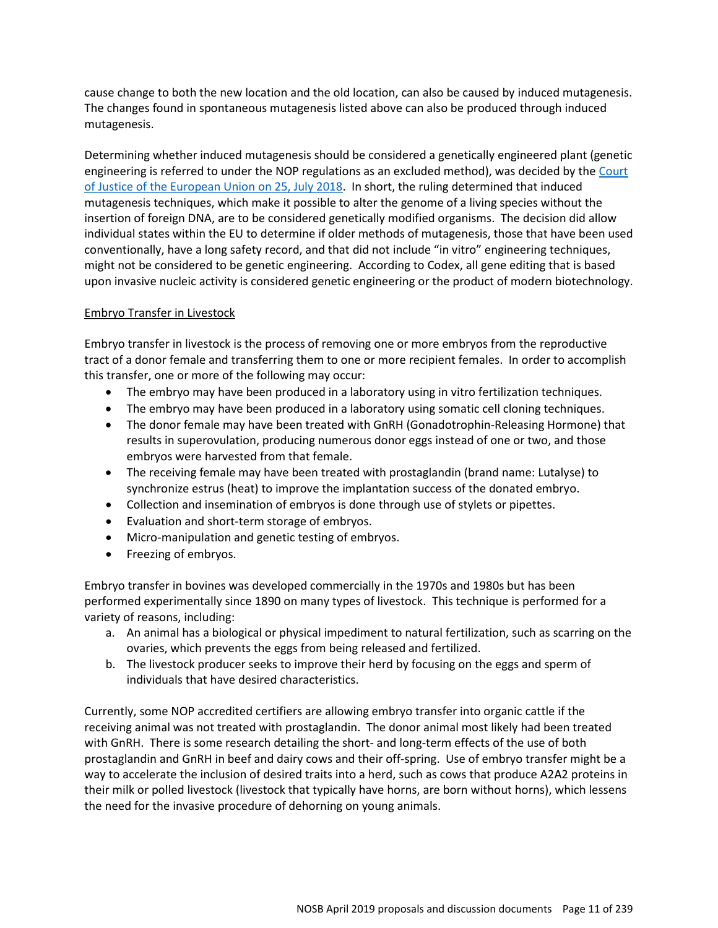cause change to both the new location and the old location, can also be caused by induced mutagenesis. The changes found in spontaneous mutagenesis listed above can also be produced through induced mutagenesis.

Determining whether induced mutagenesis should be considered a genetically engineered plant (genetic engineering is referred to under the NOP regulations as an excluded method), was decided by the Court of Justice of the European Union on 25, July 2018. In short, the ruling determined that induced mutagenesis techniques, which make it possible to alter the genome of a living species without the insertion of foreign DNA, are to be considered genetically modified organisms. The decision did allow individual states within the EU to determine if older methods of mutagenesis, those that have been used conventionally, have a long safety record, and that did not include "in vitro" engineering techniques, might not be considered to be genetic engineering. According to Codex, all gene editing that is based upon invasive nucleic activity is considered genetic engineering or the product of modern biotechnology.

# Embryo Transfer in Livestock

Embryo transfer in livestock is the process of removing one or more embryos from the reproductive tract of a donor female and transferring them to one or more recipient females. In order to accomplish this transfer, one or more of the following may occur:

- The embryo may have been produced in a laboratory using in vitro fertilization techniques.
- The embryo may have been produced in a laboratory using somatic cell cloning techniques.
- The donor female may have been treated with GnRH (Gonadotrophin-Releasing Hormone) that results in superovulation, producing numerous donor eggs instead of one or two, and those embryos were harvested from that female.
- The receiving female may have been treated with prostaglandin (brand name: Lutalyse) to synchronize estrus (heat) to improve the implantation success of the donated embryo.
- Collection and insemination of embryos is done through use of stylets or pipettes.
- Evaluation and short-term storage of embryos.
- Micro-manipulation and genetic testing of embryos.
- Freezing of embryos.

Embryo transfer in bovines was developed commercially in the 1970s and 1980s but has been performed experimentally since 1890 on many types of livestock. This technique is performed for a variety of reasons, including:

- a. An animal has a biological or physical impediment to natural fertilization, such as scarring on the ovaries, which prevents the eggs from being released and fertilized.
- b. The livestock producer seeks to improve their herd by focusing on the eggs and sperm of individuals that have desired characteristics.

Currently, some NOP accredited certifiers are allowing embryo transfer into organic cattle if the receiving animal was not treated with prostaglandin. The donor animal most likely had been treated with GnRH. There is some research detailing the short- and long-term effects of the use of both prostaglandin and GnRH in beef and dairy cows and their off-spring. Use of embryo transfer might be a way to accelerate the inclusion of desired traits into a herd, such as cows that produce A2A2 proteins in their milk or polled livestock (livestock that typically have horns, are born without horns), which lessens the need for the invasive procedure of dehorning on young animals.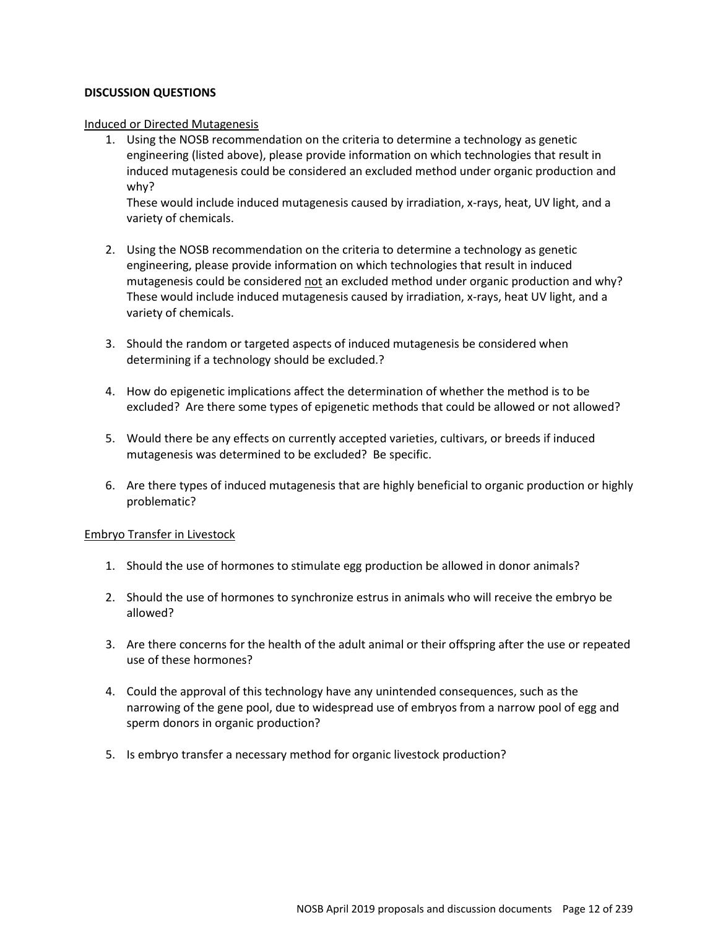# **DISCUSSION QUESTIONS**

#### Induced or Directed Mutagenesis

1. Using the NOSB recommendation on the criteria to determine a technology as genetic engineering (listed above), please provide information on which technologies that result in induced mutagenesis could be considered an excluded method under organic production and why?

These would include induced mutagenesis caused by irradiation, x-rays, heat, UV light, and a variety of chemicals.

- 2. Using the NOSB recommendation on the criteria to determine a technology as genetic engineering, please provide information on which technologies that result in induced mutagenesis could be considered not an excluded method under organic production and why? These would include induced mutagenesis caused by irradiation, x-rays, heat UV light, and a variety of chemicals.
- 3. Should the random or targeted aspects of induced mutagenesis be considered when determining if a technology should be excluded.?
- 4. How do epigenetic implications affect the determination of whether the method is to be excluded? Are there some types of epigenetic methods that could be allowed or not allowed?
- 5. Would there be any effects on currently accepted varieties, cultivars, or breeds if induced mutagenesis was determined to be excluded? Be specific.
- 6. Are there types of induced mutagenesis that are highly beneficial to organic production or highly problematic?

### Embryo Transfer in Livestock

- 1. Should the use of hormones to stimulate egg production be allowed in donor animals?
- 2. Should the use of hormones to synchronize estrus in animals who will receive the embryo be allowed?
- 3. Are there concerns for the health of the adult animal or their offspring after the use or repeated use of these hormones?
- 4. Could the approval of this technology have any unintended consequences, such as the narrowing of the gene pool, due to widespread use of embryos from a narrow pool of egg and sperm donors in organic production?
- 5. Is embryo transfer a necessary method for organic livestock production?